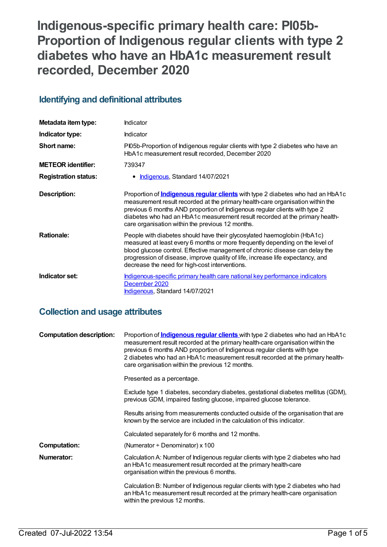# **Indigenous-specific primary health care: PI05b-Proportion of Indigenous regular clients with type 2 diabetes who have an HbA1c measurement result recorded, December 2020**

# **Identifying and definitional attributes**

| Metadata item type:         | Indicator                                                                                                                                                                                                                                                                                                                                                                                 |
|-----------------------------|-------------------------------------------------------------------------------------------------------------------------------------------------------------------------------------------------------------------------------------------------------------------------------------------------------------------------------------------------------------------------------------------|
| Indicator type:             | <b>Indicator</b>                                                                                                                                                                                                                                                                                                                                                                          |
| Short name:                 | Pl05b-Proportion of Indigenous regular clients with type 2 diabetes who have an<br>HbA1c measurement result recorded, December 2020                                                                                                                                                                                                                                                       |
| <b>METEOR identifier:</b>   | 739347                                                                                                                                                                                                                                                                                                                                                                                    |
| <b>Registration status:</b> | • Indigenous, Standard 14/07/2021                                                                                                                                                                                                                                                                                                                                                         |
| <b>Description:</b>         | Proportion of <b>Indigenous regular clients</b> with type 2 diabetes who had an HbA1c<br>measurement result recorded at the primary health-care organisation within the<br>previous 6 months AND proportion of Indigenous regular clients with type 2<br>diabetes who had an HbA1c measurement result recorded at the primary health-<br>care organisation within the previous 12 months. |
| <b>Rationale:</b>           | People with diabetes should have their glycosylated haemoglobin (HbA1c)<br>measured at least every 6 months or more frequently depending on the level of<br>blood glucose control. Effective management of chronic disease can delay the<br>progression of disease, improve quality of life, increase life expectancy, and<br>decrease the need for high-cost interventions.              |
| Indicator set:              | Indigenous-specific primary health care national key performance indicators<br>December 2020<br>Indigenous, Standard 14/07/2021                                                                                                                                                                                                                                                           |

# **Collection and usage attributes**

| <b>Computation description:</b> | Proportion of <b>Indigenous regular clients</b> with type 2 diabetes who had an HbA1c<br>measurement result recorded at the primary health-care organisation within the<br>previous 6 months AND proportion of Indigenous regular clients with type<br>2 diabetes who had an HbA1c measurement result recorded at the primary health-<br>care organisation within the previous 12 months. |
|---------------------------------|-------------------------------------------------------------------------------------------------------------------------------------------------------------------------------------------------------------------------------------------------------------------------------------------------------------------------------------------------------------------------------------------|
|                                 | Presented as a percentage.                                                                                                                                                                                                                                                                                                                                                                |
|                                 | Exclude type 1 diabetes, secondary diabetes, gestational diabetes mellitus (GDM),<br>previous GDM, impaired fasting glucose, impaired glucose tolerance.                                                                                                                                                                                                                                  |
|                                 | Results arising from measurements conducted outside of the organisation that are<br>known by the service are included in the calculation of this indicator.                                                                                                                                                                                                                               |
|                                 | Calculated separately for 6 months and 12 months.                                                                                                                                                                                                                                                                                                                                         |
| <b>Computation:</b>             | (Numerator $\div$ Denominator) x 100                                                                                                                                                                                                                                                                                                                                                      |
| Numerator:                      | Calculation A: Number of Indigenous regular clients with type 2 diabetes who had<br>an HbA1c measurement result recorded at the primary health-care<br>organisation within the previous 6 months.                                                                                                                                                                                         |
|                                 | Calculation B: Number of Indigenous regular clients with type 2 diabetes who had<br>an HbA1c measurement result recorded at the primary health-care organisation<br>within the previous 12 months.                                                                                                                                                                                        |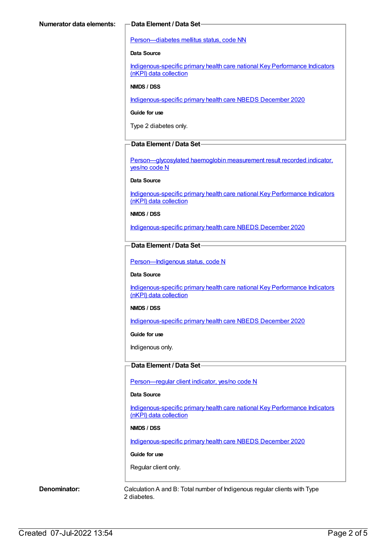### [Person—diabetes](https://meteor.aihw.gov.au/content/270194) mellitus status, code NN

### **Data Source**

[Indigenous-specific](https://meteor.aihw.gov.au/content/737914) primary health care national Key Performance Indicators (nKPI) data collection

### **NMDS / DSS**

[Indigenous-specific](https://meteor.aihw.gov.au/content/738532) primary health care NBEDS December 2020

### **Guide for use**

Type 2 diabetes only.

### **Data Element / Data Set**

[Person—glycosylated](https://meteor.aihw.gov.au/content/441495) haemoglobin measurement result recorded indicator, yes/no code N

### **Data Source**

[Indigenous-specific](https://meteor.aihw.gov.au/content/737914) primary health care national Key Performance Indicators (nKPI) data collection

### **NMDS / DSS**

[Indigenous-specific](https://meteor.aihw.gov.au/content/738532) primary health care NBEDS December 2020

### **Data Element / Data Set**

Person-Indigenous status, code N

### **Data Source**

[Indigenous-specific](https://meteor.aihw.gov.au/content/737914) primary health care national Key Performance Indicators (nKPI) data collection

### **NMDS / DSS**

[Indigenous-specific](https://meteor.aihw.gov.au/content/738532) primary health care NBEDS December 2020

### **Guide for use**

Indigenous only.

### **Data Element / Data Set**

[Person—regular](https://meteor.aihw.gov.au/content/686291) client indicator, yes/no code N

### **Data Source**

[Indigenous-specific](https://meteor.aihw.gov.au/content/737914) primary health care national Key Performance Indicators (nKPI) data collection

### **NMDS / DSS**

[Indigenous-specific](https://meteor.aihw.gov.au/content/738532) primary health care NBEDS December 2020

### **Guide for use**

Regular client only.

**Denominator:** Calculation A and B: Total number of Indigenous regular clients with Type 2 diabetes.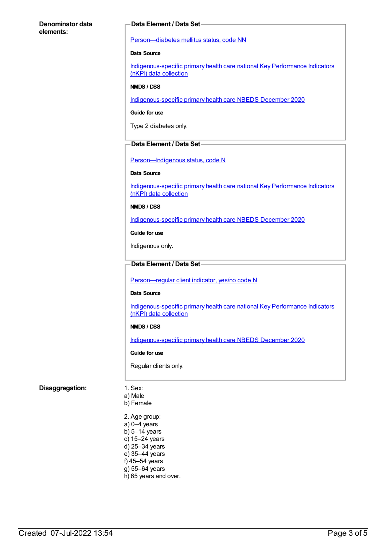### **Denominator data elements:**

### **Data Element / Data Set**

[Person—diabetes](https://meteor.aihw.gov.au/content/270194) mellitus status, code NN

### **Data Source**

[Indigenous-specific](https://meteor.aihw.gov.au/content/737914) primary health care national Key Performance Indicators (nKPI) data collection

### **NMDS / DSS**

[Indigenous-specific](https://meteor.aihw.gov.au/content/738532) primary health care NBEDS December 2020

### **Guide for use**

Type 2 diabetes only.

### **Data Element / Data Set**

Person-Indigenous status, code N

### **Data Source**

[Indigenous-specific](https://meteor.aihw.gov.au/content/737914) primary health care national Key Performance Indicators (nKPI) data collection

### **NMDS / DSS**

[Indigenous-specific](https://meteor.aihw.gov.au/content/738532) primary health care NBEDS December 2020

**Guide for use**

Indigenous only.

### **Data Element / Data Set**

[Person—regular](https://meteor.aihw.gov.au/content/686291) client indicator, yes/no code N

### **Data Source**

[Indigenous-specific](https://meteor.aihw.gov.au/content/737914) primary health care national Key Performance Indicators (nKPI) data collection

### **NMDS / DSS**

[Indigenous-specific](https://meteor.aihw.gov.au/content/738532) primary health care NBEDS December 2020

### **Guide for use**

Regular clients only.

### **Disaggregation:** 1. Sex:

- a) Male b) Female
- 2. Age group: a) 0–4 years b) 5–14 years c) 15–24 years d) 25–34 years e) 35–44 years f) 45–54 years g) 55–64 years h) 65 years and over.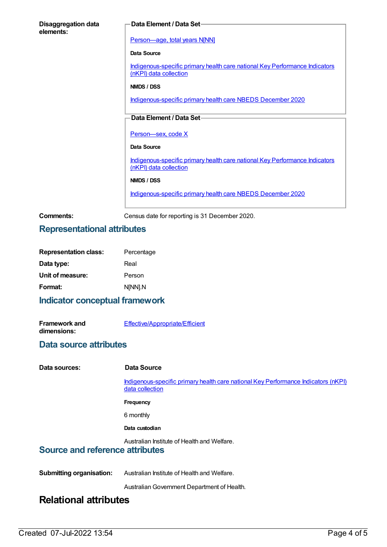| <b>Disaggregation data</b><br>elements: | Data Element / Data Set-                                                                              |  |
|-----------------------------------------|-------------------------------------------------------------------------------------------------------|--|
|                                         |                                                                                                       |  |
|                                         | Person-age, total years N[NN]                                                                         |  |
|                                         | Data Source                                                                                           |  |
|                                         | Indigenous-specific primary health care national Key Performance Indicators<br>(nKPI) data collection |  |
|                                         | NMDS / DSS                                                                                            |  |
|                                         | Indigenous-specific primary health care NBEDS December 2020                                           |  |
|                                         |                                                                                                       |  |
|                                         | Data Element / Data Set-                                                                              |  |
|                                         | Person-sex, code X                                                                                    |  |
|                                         | Data Source                                                                                           |  |
|                                         | Indigenous-specific primary health care national Key Performance Indicators<br>(nKPI) data collection |  |
|                                         | NMDS / DSS                                                                                            |  |
|                                         | Indigenous-specific primary health care NBEDS December 2020                                           |  |
|                                         |                                                                                                       |  |

**Comments:** Census date for reporting is 31 December 2020.

# **Representational attributes**

| <b>Representation class:</b> | Percentage |
|------------------------------|------------|
| Data type:                   | Real       |
| Unit of measure:             | Person     |
| Format:                      | NINNI.N    |

# **Indicator conceptual framework**

| <b>Framework and</b> | <b>Effective/Appropriate/Efficient</b> |
|----------------------|----------------------------------------|
| dimensions:          |                                        |

## **Data source attributes**

| Data sources:                                                                         | Data Source                                                                                           |  |
|---------------------------------------------------------------------------------------|-------------------------------------------------------------------------------------------------------|--|
|                                                                                       | Indigenous-specific primary health care national Key Performance Indicators (nKPI)<br>data collection |  |
|                                                                                       | <b>Frequency</b>                                                                                      |  |
|                                                                                       | 6 monthly                                                                                             |  |
|                                                                                       | Data custodian                                                                                        |  |
| Australian Institute of Health and Welfare.<br><b>Source and reference attributes</b> |                                                                                                       |  |
| <b>Submitting organisation:</b>                                                       | Australian Institute of Health and Welfare.                                                           |  |
|                                                                                       | Australian Government Department of Health.                                                           |  |
| <b>Relational attributes</b>                                                          |                                                                                                       |  |